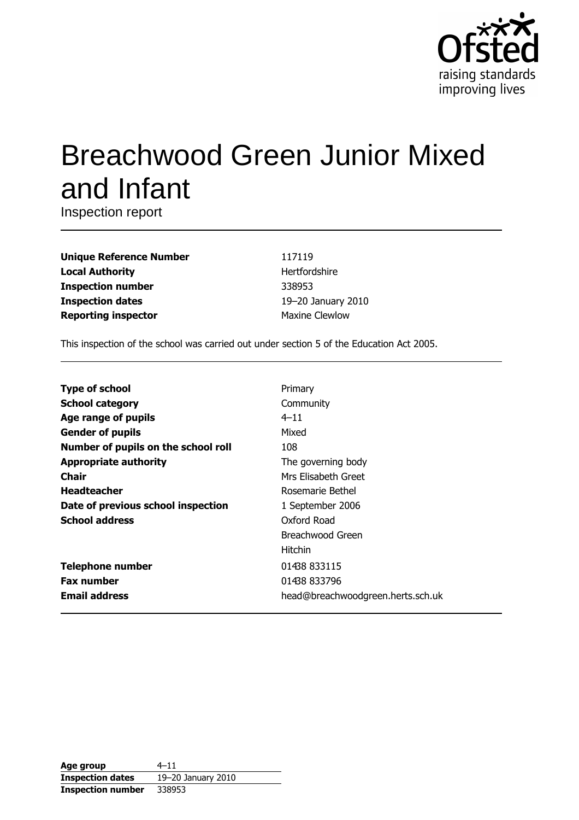

# **Breachwood Green Junior Mixed** and Infant

Inspection report

| <b>Unique Reference Number</b> |
|--------------------------------|
| <b>Local Authority</b>         |
| <b>Inspection number</b>       |
| <b>Inspection dates</b>        |
| <b>Reporting inspector</b>     |

117119 Hertfordshire 338953 19-20 January 2010 **Maxine Clewlow** 

This inspection of the school was carried out under section 5 of the Education Act 2005.

| <b>Type of school</b>               | Primary                           |
|-------------------------------------|-----------------------------------|
| <b>School category</b>              | Community                         |
| Age range of pupils                 | $4 - 11$                          |
| <b>Gender of pupils</b>             | Mixed                             |
| Number of pupils on the school roll | 108                               |
| <b>Appropriate authority</b>        | The governing body                |
| Chair                               | Mrs Elisabeth Greet               |
| <b>Headteacher</b>                  | Rosemarie Bethel                  |
| Date of previous school inspection  | 1 September 2006                  |
| <b>School address</b>               | Oxford Road                       |
|                                     | Breachwood Green                  |
|                                     | <b>Hitchin</b>                    |
| <b>Telephone number</b>             | 01438 833115                      |
| <b>Fax number</b>                   | 01438 833796                      |
| <b>Email address</b>                | head@breachwoodgreen.herts.sch.uk |

| Age group                | $4 - 11$           |
|--------------------------|--------------------|
| <b>Inspection dates</b>  | 19-20 January 2010 |
| <b>Inspection number</b> | 338953             |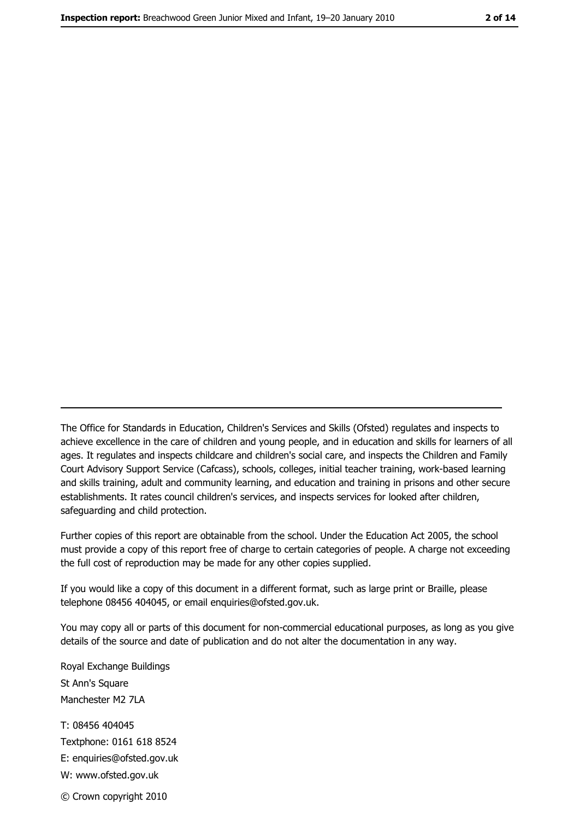The Office for Standards in Education, Children's Services and Skills (Ofsted) regulates and inspects to achieve excellence in the care of children and young people, and in education and skills for learners of all ages. It regulates and inspects childcare and children's social care, and inspects the Children and Family Court Advisory Support Service (Cafcass), schools, colleges, initial teacher training, work-based learning and skills training, adult and community learning, and education and training in prisons and other secure establishments. It rates council children's services, and inspects services for looked after children, safequarding and child protection.

Further copies of this report are obtainable from the school. Under the Education Act 2005, the school must provide a copy of this report free of charge to certain categories of people. A charge not exceeding the full cost of reproduction may be made for any other copies supplied.

If you would like a copy of this document in a different format, such as large print or Braille, please telephone 08456 404045, or email enquiries@ofsted.gov.uk.

You may copy all or parts of this document for non-commercial educational purposes, as long as you give details of the source and date of publication and do not alter the documentation in any way.

Royal Exchange Buildings St Ann's Square Manchester M2 7LA T: 08456 404045 Textphone: 0161 618 8524 E: enquiries@ofsted.gov.uk W: www.ofsted.gov.uk © Crown copyright 2010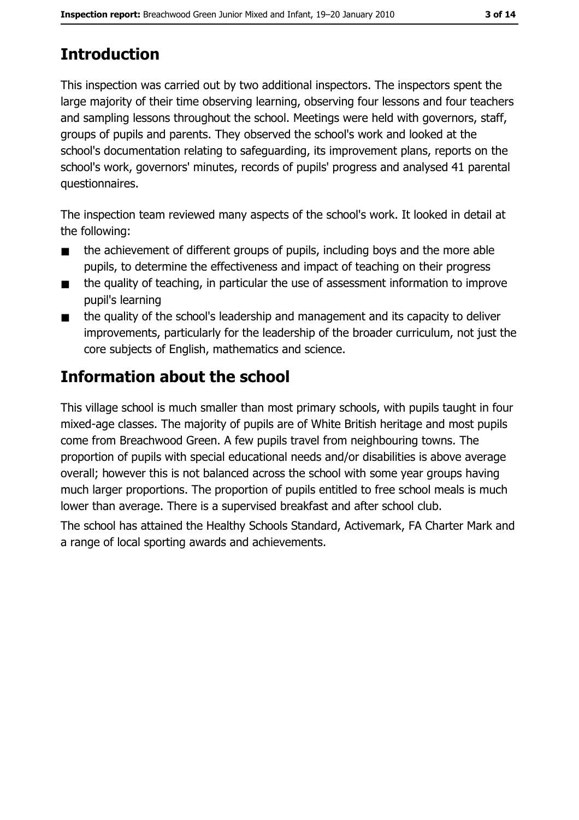# **Introduction**

This inspection was carried out by two additional inspectors. The inspectors spent the large majority of their time observing learning, observing four lessons and four teachers and sampling lessons throughout the school. Meetings were held with governors, staff, groups of pupils and parents. They observed the school's work and looked at the school's documentation relating to safeguarding, its improvement plans, reports on the school's work, governors' minutes, records of pupils' progress and analysed 41 parental questionnaires.

The inspection team reviewed many aspects of the school's work. It looked in detail at the following:

- the achievement of different groups of pupils, including boys and the more able  $\blacksquare$ pupils, to determine the effectiveness and impact of teaching on their progress
- the quality of teaching, in particular the use of assessment information to improve  $\blacksquare$ pupil's learning
- the quality of the school's leadership and management and its capacity to deliver  $\blacksquare$ improvements, particularly for the leadership of the broader curriculum, not just the core subjects of English, mathematics and science.

# **Information about the school**

This village school is much smaller than most primary schools, with pupils taught in four mixed-age classes. The majority of pupils are of White British heritage and most pupils come from Breachwood Green. A few pupils travel from neighbouring towns. The proportion of pupils with special educational needs and/or disabilities is above average overall; however this is not balanced across the school with some year groups having much larger proportions. The proportion of pupils entitled to free school meals is much lower than average. There is a supervised breakfast and after school club.

The school has attained the Healthy Schools Standard, Activemark, FA Charter Mark and a range of local sporting awards and achievements.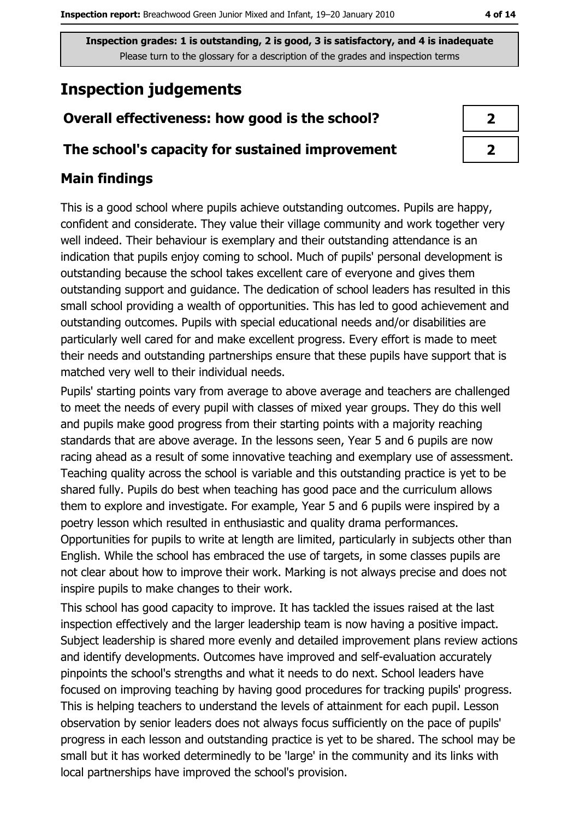# **Inspection judgements**

# Overall effectiveness: how good is the school?

### The school's capacity for sustained improvement

## **Main findings**

This is a good school where pupils achieve outstanding outcomes. Pupils are happy, confident and considerate. They value their village community and work together very well indeed. Their behaviour is exemplary and their outstanding attendance is an indication that pupils enjoy coming to school. Much of pupils' personal development is outstanding because the school takes excellent care of everyone and gives them outstanding support and quidance. The dedication of school leaders has resulted in this small school providing a wealth of opportunities. This has led to good achievement and outstanding outcomes. Pupils with special educational needs and/or disabilities are particularly well cared for and make excellent progress. Every effort is made to meet their needs and outstanding partnerships ensure that these pupils have support that is matched very well to their individual needs.

Pupils' starting points vary from average to above average and teachers are challenged to meet the needs of every pupil with classes of mixed year groups. They do this well and pupils make good progress from their starting points with a majority reaching standards that are above average. In the lessons seen, Year 5 and 6 pupils are now racing ahead as a result of some innovative teaching and exemplary use of assessment. Teaching quality across the school is variable and this outstanding practice is yet to be shared fully. Pupils do best when teaching has good pace and the curriculum allows them to explore and investigate. For example, Year 5 and 6 pupils were inspired by a poetry lesson which resulted in enthusiastic and quality drama performances. Opportunities for pupils to write at length are limited, particularly in subjects other than English. While the school has embraced the use of targets, in some classes pupils are not clear about how to improve their work. Marking is not always precise and does not inspire pupils to make changes to their work.

This school has good capacity to improve. It has tackled the issues raised at the last inspection effectively and the larger leadership team is now having a positive impact. Subject leadership is shared more evenly and detailed improvement plans review actions and identify developments. Outcomes have improved and self-evaluation accurately pinpoints the school's strengths and what it needs to do next. School leaders have focused on improving teaching by having good procedures for tracking pupils' progress. This is helping teachers to understand the levels of attainment for each pupil. Lesson observation by senior leaders does not always focus sufficiently on the pace of pupils' progress in each lesson and outstanding practice is yet to be shared. The school may be small but it has worked determinedly to be 'large' in the community and its links with local partnerships have improved the school's provision.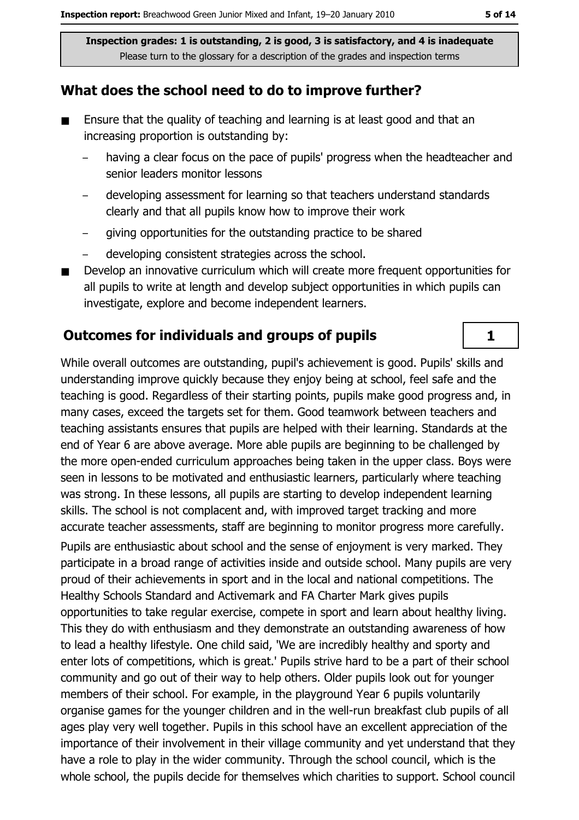#### What does the school need to do to improve further?

- $\blacksquare$ Ensure that the quality of teaching and learning is at least good and that an increasing proportion is outstanding by:
	- having a clear focus on the pace of pupils' progress when the headteacher and senior leaders monitor lessons
	- developing assessment for learning so that teachers understand standards clearly and that all pupils know how to improve their work
	- giving opportunities for the outstanding practice to be shared
	- developing consistent strategies across the school.
- Develop an innovative curriculum which will create more frequent opportunities for all pupils to write at length and develop subject opportunities in which pupils can investigate, explore and become independent learners.

#### **Outcomes for individuals and groups of pupils**

While overall outcomes are outstanding, pupil's achievement is good. Pupils' skills and understanding improve quickly because they enjoy being at school, feel safe and the teaching is good. Regardless of their starting points, pupils make good progress and, in many cases, exceed the targets set for them. Good teamwork between teachers and teaching assistants ensures that pupils are helped with their learning. Standards at the end of Year 6 are above average. More able pupils are beginning to be challenged by the more open-ended curriculum approaches being taken in the upper class. Boys were seen in lessons to be motivated and enthusiastic learners, particularly where teaching was strong. In these lessons, all pupils are starting to develop independent learning skills. The school is not complacent and, with improved target tracking and more accurate teacher assessments, staff are beginning to monitor progress more carefully. Pupils are enthusiastic about school and the sense of enjoyment is very marked. They participate in a broad range of activities inside and outside school. Many pupils are very proud of their achievements in sport and in the local and national competitions. The Healthy Schools Standard and Activemark and FA Charter Mark gives pupils opportunities to take regular exercise, compete in sport and learn about healthy living. This they do with enthusiasm and they demonstrate an outstanding awareness of how to lead a healthy lifestyle. One child said, 'We are incredibly healthy and sporty and enter lots of competitions, which is great.' Pupils strive hard to be a part of their school community and go out of their way to help others. Older pupils look out for younger members of their school. For example, in the playground Year 6 pupils voluntarily organise games for the younger children and in the well-run breakfast club pupils of all ages play very well together. Pupils in this school have an excellent appreciation of the importance of their involvement in their village community and yet understand that they have a role to play in the wider community. Through the school council, which is the whole school, the pupils decide for themselves which charities to support. School council

 $\mathbf{1}$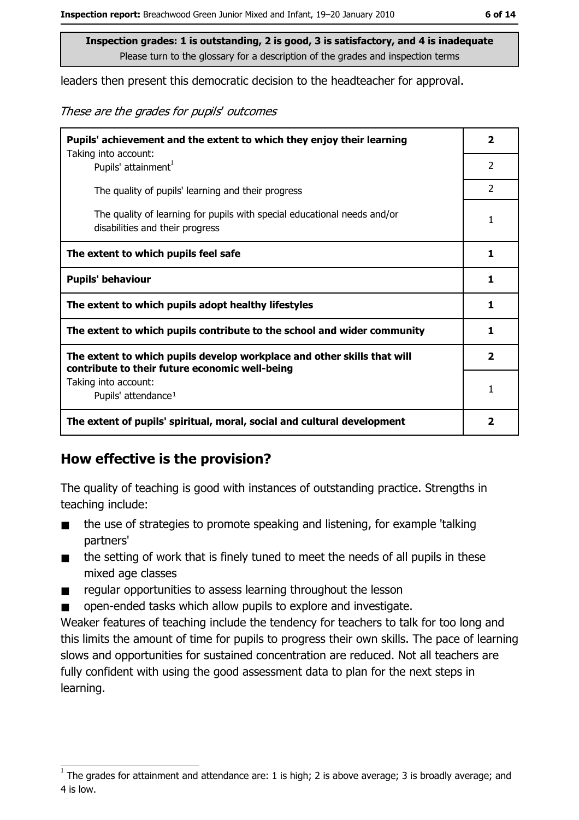leaders then present this democratic decision to the headteacher for approval.

These are the grades for pupils' outcomes

| Pupils' achievement and the extent to which they enjoy their learning                                                     |                         |  |
|---------------------------------------------------------------------------------------------------------------------------|-------------------------|--|
| Taking into account:<br>Pupils' attainment <sup>1</sup>                                                                   | $\mathcal{P}$           |  |
| The quality of pupils' learning and their progress                                                                        | $\overline{2}$          |  |
| The quality of learning for pupils with special educational needs and/or<br>disabilities and their progress               | 1                       |  |
| The extent to which pupils feel safe                                                                                      | 1                       |  |
| <b>Pupils' behaviour</b>                                                                                                  | 1                       |  |
| The extent to which pupils adopt healthy lifestyles                                                                       | 1                       |  |
| The extent to which pupils contribute to the school and wider community                                                   | 1                       |  |
| The extent to which pupils develop workplace and other skills that will<br>contribute to their future economic well-being | $\overline{\mathbf{2}}$ |  |
| Taking into account:<br>Pupils' attendance <sup>1</sup>                                                                   | 1                       |  |
| The extent of pupils' spiritual, moral, social and cultural development                                                   | 2                       |  |

### How effective is the provision?

The quality of teaching is good with instances of outstanding practice. Strengths in teaching include:

- the use of strategies to promote speaking and listening, for example 'talking  $\blacksquare$ partners'
- the setting of work that is finely tuned to meet the needs of all pupils in these  $\blacksquare$ mixed age classes
- regular opportunities to assess learning throughout the lesson  $\blacksquare$
- open-ended tasks which allow pupils to explore and investigate.  $\blacksquare$

Weaker features of teaching include the tendency for teachers to talk for too long and this limits the amount of time for pupils to progress their own skills. The pace of learning slows and opportunities for sustained concentration are reduced. Not all teachers are fully confident with using the good assessment data to plan for the next steps in learning.

The grades for attainment and attendance are: 1 is high; 2 is above average; 3 is broadly average; and 4 is low.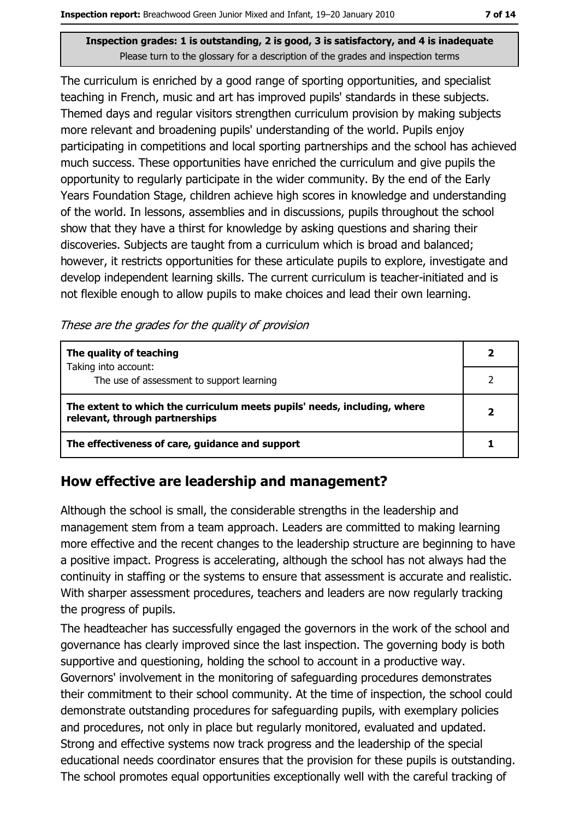The curriculum is enriched by a good range of sporting opportunities, and specialist teaching in French, music and art has improved pupils' standards in these subjects. Themed days and regular visitors strengthen curriculum provision by making subjects more relevant and broadening pupils' understanding of the world. Pupils enjoy participating in competitions and local sporting partnerships and the school has achieved much success. These opportunities have enriched the curriculum and give pupils the opportunity to regularly participate in the wider community. By the end of the Early Years Foundation Stage, children achieve high scores in knowledge and understanding of the world. In lessons, assemblies and in discussions, pupils throughout the school show that they have a thirst for knowledge by asking questions and sharing their discoveries. Subjects are taught from a curriculum which is broad and balanced; however, it restricts opportunities for these articulate pupils to explore, investigate and develop independent learning skills. The current curriculum is teacher-initiated and is not flexible enough to allow pupils to make choices and lead their own learning.

These are the grades for the quality of provision

| The quality of teaching                                                                                    |  |
|------------------------------------------------------------------------------------------------------------|--|
| Taking into account:<br>The use of assessment to support learning                                          |  |
| The extent to which the curriculum meets pupils' needs, including, where<br>relevant, through partnerships |  |
| The effectiveness of care, guidance and support                                                            |  |

### How effective are leadership and management?

Although the school is small, the considerable strengths in the leadership and management stem from a team approach. Leaders are committed to making learning more effective and the recent changes to the leadership structure are beginning to have a positive impact. Progress is accelerating, although the school has not always had the continuity in staffing or the systems to ensure that assessment is accurate and realistic. With sharper assessment procedures, teachers and leaders are now regularly tracking the progress of pupils.

The headteacher has successfully engaged the governors in the work of the school and governance has clearly improved since the last inspection. The governing body is both supportive and questioning, holding the school to account in a productive way. Governors' involvement in the monitoring of safeguarding procedures demonstrates their commitment to their school community. At the time of inspection, the school could demonstrate outstanding procedures for safeguarding pupils, with exemplary policies and procedures, not only in place but regularly monitored, evaluated and updated. Strong and effective systems now track progress and the leadership of the special educational needs coordinator ensures that the provision for these pupils is outstanding. The school promotes equal opportunities exceptionally well with the careful tracking of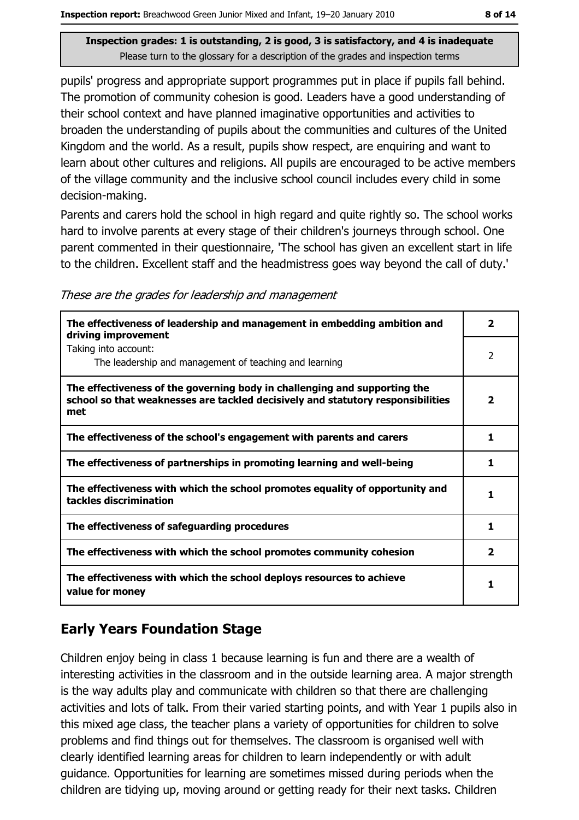pupils' progress and appropriate support programmes put in place if pupils fall behind. The promotion of community cohesion is good. Leaders have a good understanding of their school context and have planned imaginative opportunities and activities to broaden the understanding of pupils about the communities and cultures of the United Kingdom and the world. As a result, pupils show respect, are enquiring and want to learn about other cultures and religions. All pupils are encouraged to be active members of the village community and the inclusive school council includes every child in some decision-making.

Parents and carers hold the school in high regard and quite rightly so. The school works hard to involve parents at every stage of their children's journeys through school. One parent commented in their questionnaire, 'The school has given an excellent start in life to the children. Excellent staff and the headmistress goes way beyond the call of duty.'

|  | These are the grades for leadership and management |
|--|----------------------------------------------------|
|  |                                                    |

| The effectiveness of leadership and management in embedding ambition and<br>driving improvement                                                                     | $\overline{\mathbf{2}}$ |
|---------------------------------------------------------------------------------------------------------------------------------------------------------------------|-------------------------|
| Taking into account:<br>The leadership and management of teaching and learning                                                                                      | 2                       |
| The effectiveness of the governing body in challenging and supporting the<br>school so that weaknesses are tackled decisively and statutory responsibilities<br>met | 2                       |
| The effectiveness of the school's engagement with parents and carers                                                                                                | 1                       |
| The effectiveness of partnerships in promoting learning and well-being                                                                                              | 1                       |
| The effectiveness with which the school promotes equality of opportunity and<br>tackles discrimination                                                              | 1                       |
| The effectiveness of safeguarding procedures                                                                                                                        | 1                       |
| The effectiveness with which the school promotes community cohesion                                                                                                 | $\overline{\mathbf{2}}$ |
| The effectiveness with which the school deploys resources to achieve<br>value for money                                                                             |                         |

# **Early Years Foundation Stage**

Children enjoy being in class 1 because learning is fun and there are a wealth of interesting activities in the classroom and in the outside learning area. A major strength is the way adults play and communicate with children so that there are challenging activities and lots of talk. From their varied starting points, and with Year 1 pupils also in this mixed age class, the teacher plans a variety of opportunities for children to solve problems and find things out for themselves. The classroom is organised well with clearly identified learning areas for children to learn independently or with adult quidance. Opportunities for learning are sometimes missed during periods when the children are tidying up, moving around or getting ready for their next tasks. Children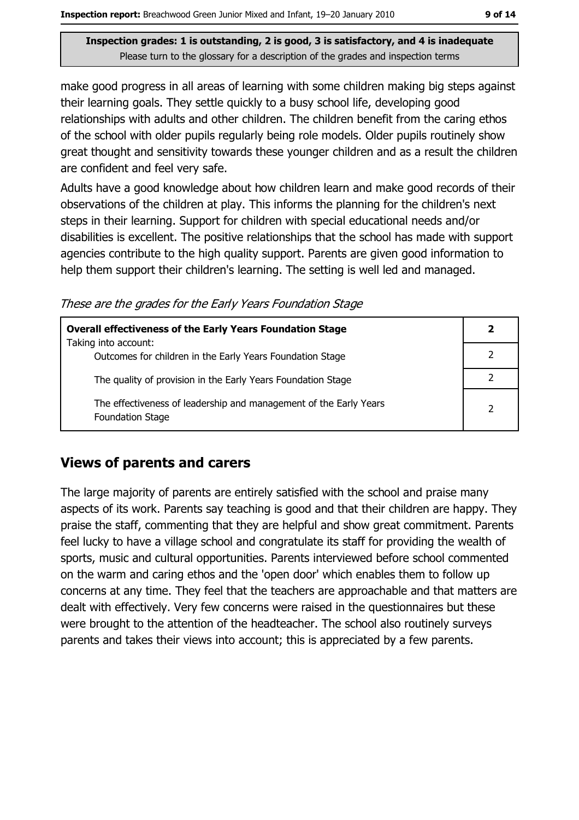make good progress in all areas of learning with some children making big steps against their learning goals. They settle quickly to a busy school life, developing good relationships with adults and other children. The children benefit from the caring ethos of the school with older pupils regularly being role models. Older pupils routinely show great thought and sensitivity towards these younger children and as a result the children are confident and feel very safe.

Adults have a good knowledge about how children learn and make good records of their observations of the children at play. This informs the planning for the children's next steps in their learning. Support for children with special educational needs and/or disabilities is excellent. The positive relationships that the school has made with support agencies contribute to the high quality support. Parents are given good information to help them support their children's learning. The setting is well led and managed.

These are the grades for the Early Years Foundation Stage

| <b>Overall effectiveness of the Early Years Foundation Stage</b>                             | 2              |
|----------------------------------------------------------------------------------------------|----------------|
| Taking into account:<br>Outcomes for children in the Early Years Foundation Stage            |                |
| The quality of provision in the Early Years Foundation Stage                                 |                |
| The effectiveness of leadership and management of the Early Years<br><b>Foundation Stage</b> | $\overline{2}$ |

### **Views of parents and carers**

The large majority of parents are entirely satisfied with the school and praise many aspects of its work. Parents say teaching is good and that their children are happy. They praise the staff, commenting that they are helpful and show great commitment. Parents feel lucky to have a village school and congratulate its staff for providing the wealth of sports, music and cultural opportunities. Parents interviewed before school commented on the warm and caring ethos and the 'open door' which enables them to follow up concerns at any time. They feel that the teachers are approachable and that matters are dealt with effectively. Very few concerns were raised in the questionnaires but these were brought to the attention of the headteacher. The school also routinely surveys parents and takes their views into account; this is appreciated by a few parents.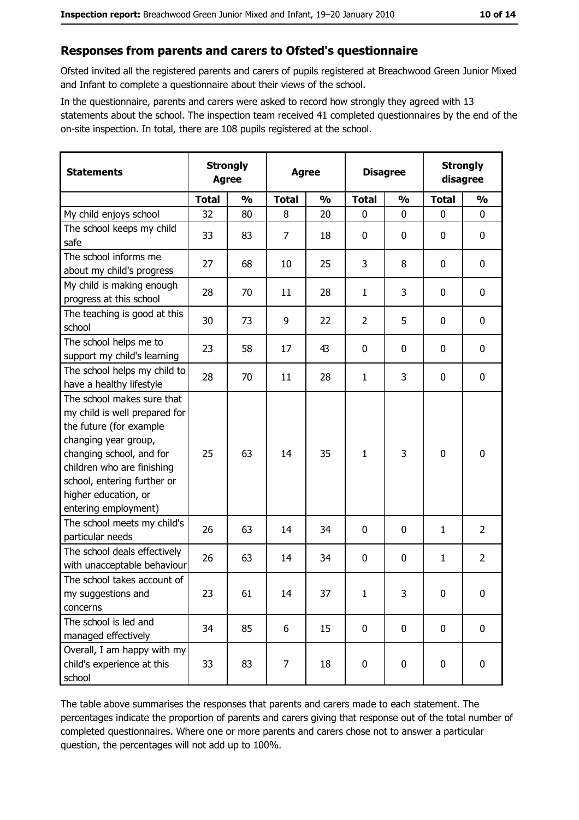#### Responses from parents and carers to Ofsted's questionnaire

Ofsted invited all the registered parents and carers of pupils registered at Breachwood Green Junior Mixed and Infant to complete a questionnaire about their views of the school.

In the questionnaire, parents and carers were asked to record how strongly they agreed with 13 statements about the school. The inspection team received 41 completed questionnaires by the end of the on-site inspection. In total, there are 108 pupils registered at the school.

| <b>Statements</b>                                                                                                                                                                                                                                       | <b>Strongly</b><br><b>Agree</b> |               |              |               | <b>Agree</b>   |               | <b>Disagree</b> |                  | <b>Strongly</b><br>disagree |  |
|---------------------------------------------------------------------------------------------------------------------------------------------------------------------------------------------------------------------------------------------------------|---------------------------------|---------------|--------------|---------------|----------------|---------------|-----------------|------------------|-----------------------------|--|
|                                                                                                                                                                                                                                                         | <b>Total</b>                    | $\frac{0}{0}$ | <b>Total</b> | $\frac{0}{0}$ | <b>Total</b>   | $\frac{0}{0}$ | <b>Total</b>    | $\frac{0}{0}$    |                             |  |
| My child enjoys school                                                                                                                                                                                                                                  | 32                              | 80            | 8            | 20            | $\mathbf 0$    | 0             | 0               | 0                |                             |  |
| The school keeps my child<br>safe                                                                                                                                                                                                                       | 33                              | 83            | 7            | 18            | $\mathbf 0$    | 0             | 0               | 0                |                             |  |
| The school informs me<br>about my child's progress                                                                                                                                                                                                      | 27                              | 68            | 10           | 25            | 3              | 8             | 0               | 0                |                             |  |
| My child is making enough<br>progress at this school                                                                                                                                                                                                    | 28                              | 70            | 11           | 28            | $\mathbf{1}$   | 3             | 0               | $\mathbf 0$      |                             |  |
| The teaching is good at this<br>school                                                                                                                                                                                                                  | 30                              | 73            | 9            | 22            | $\overline{2}$ | 5             | 0               | $\mathbf 0$      |                             |  |
| The school helps me to<br>support my child's learning                                                                                                                                                                                                   | 23                              | 58            | 17           | 43            | $\mathbf 0$    | 0             | 0               | 0                |                             |  |
| The school helps my child to<br>have a healthy lifestyle                                                                                                                                                                                                | 28                              | 70            | 11           | 28            | $\mathbf{1}$   | 3             | 0               | $\boldsymbol{0}$ |                             |  |
| The school makes sure that<br>my child is well prepared for<br>the future (for example<br>changing year group,<br>changing school, and for<br>children who are finishing<br>school, entering further or<br>higher education, or<br>entering employment) | 25                              | 63            | 14           | 35            | $\mathbf{1}$   | 3             | 0               | $\mathbf 0$      |                             |  |
| The school meets my child's<br>particular needs                                                                                                                                                                                                         | 26                              | 63            | 14           | 34            | 0              | 0             | 1               | $\overline{2}$   |                             |  |
| The school deals effectively<br>with unacceptable behaviour                                                                                                                                                                                             | 26                              | 63            | 14           | 34            | $\mathbf 0$    | 0             | 1               | $\overline{2}$   |                             |  |
| The school takes account of<br>my suggestions and<br>concerns                                                                                                                                                                                           | 23                              | 61            | 14           | 37            | $\mathbf{1}$   | 3             | 0               | $\bf{0}$         |                             |  |
| The school is led and<br>managed effectively                                                                                                                                                                                                            | 34                              | 85            | 6            | 15            | $\mathbf 0$    | 0             | 0               | $\mathbf 0$      |                             |  |
| Overall, I am happy with my<br>child's experience at this<br>school                                                                                                                                                                                     | 33                              | 83            | 7            | 18            | $\pmb{0}$      | 0             | 0               | 0                |                             |  |

The table above summarises the responses that parents and carers made to each statement. The percentages indicate the proportion of parents and carers giving that response out of the total number of completed questionnaires. Where one or more parents and carers chose not to answer a particular question, the percentages will not add up to 100%.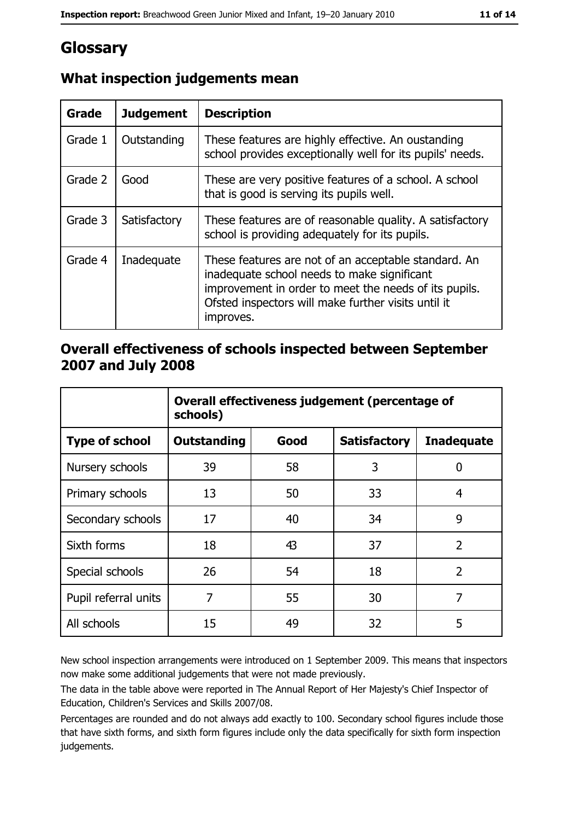# Glossary

| <b>Grade</b> | <b>Judgement</b> | <b>Description</b>                                                                                                                                                                                                               |
|--------------|------------------|----------------------------------------------------------------------------------------------------------------------------------------------------------------------------------------------------------------------------------|
| Grade 1      | Outstanding      | These features are highly effective. An oustanding<br>school provides exceptionally well for its pupils' needs.                                                                                                                  |
| Grade 2      | Good             | These are very positive features of a school. A school<br>that is good is serving its pupils well.                                                                                                                               |
| Grade 3      | Satisfactory     | These features are of reasonable quality. A satisfactory<br>school is providing adequately for its pupils.                                                                                                                       |
| Grade 4      | Inadequate       | These features are not of an acceptable standard. An<br>inadequate school needs to make significant<br>improvement in order to meet the needs of its pupils.<br>Ofsted inspectors will make further visits until it<br>improves. |

# What inspection judgements mean

### Overall effectiveness of schools inspected between September 2007 and July 2008

|                       | Overall effectiveness judgement (percentage of<br>schools) |      |                     |                   |  |
|-----------------------|------------------------------------------------------------|------|---------------------|-------------------|--|
| <b>Type of school</b> | Outstanding                                                | Good | <b>Satisfactory</b> | <b>Inadequate</b> |  |
| Nursery schools       | 39                                                         | 58   | 3                   | 0                 |  |
| Primary schools       | 13                                                         | 50   | 33                  | 4                 |  |
| Secondary schools     | 17                                                         | 40   | 34                  | 9                 |  |
| Sixth forms           | 18                                                         | 43   | 37                  | $\overline{2}$    |  |
| Special schools       | 26                                                         | 54   | 18                  | $\overline{2}$    |  |
| Pupil referral units  | 7                                                          | 55   | 30                  | 7                 |  |
| All schools           | 15                                                         | 49   | 32                  | 5                 |  |

New school inspection arrangements were introduced on 1 September 2009. This means that inspectors now make some additional judgements that were not made previously.

The data in the table above were reported in The Annual Report of Her Majesty's Chief Inspector of Education, Children's Services and Skills 2007/08.

Percentages are rounded and do not always add exactly to 100. Secondary school figures include those that have sixth forms, and sixth form figures include only the data specifically for sixth form inspection judgements.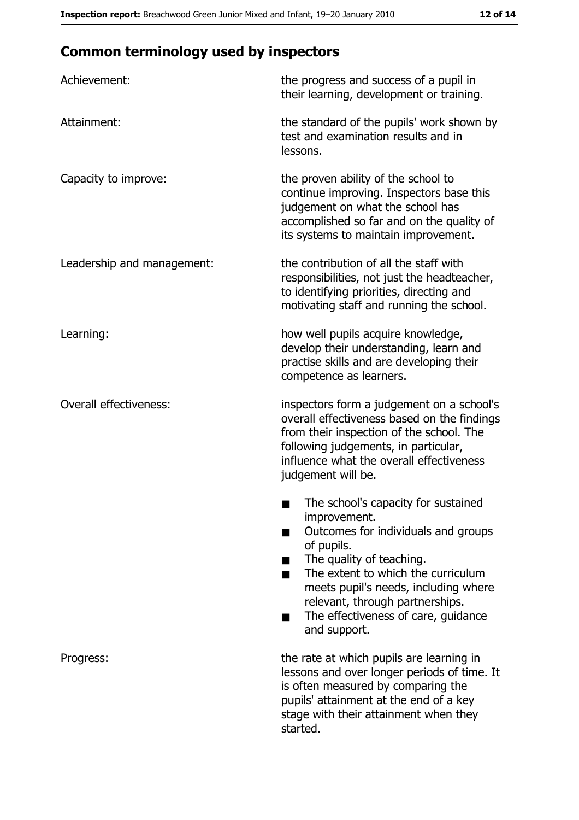# **Common terminology used by inspectors**

| Achievement:                  | the progress and success of a pupil in<br>their learning, development or training.                                                                                                                                                                                                                           |
|-------------------------------|--------------------------------------------------------------------------------------------------------------------------------------------------------------------------------------------------------------------------------------------------------------------------------------------------------------|
| Attainment:                   | the standard of the pupils' work shown by<br>test and examination results and in<br>lessons.                                                                                                                                                                                                                 |
| Capacity to improve:          | the proven ability of the school to<br>continue improving. Inspectors base this<br>judgement on what the school has<br>accomplished so far and on the quality of<br>its systems to maintain improvement.                                                                                                     |
| Leadership and management:    | the contribution of all the staff with<br>responsibilities, not just the headteacher,<br>to identifying priorities, directing and<br>motivating staff and running the school.                                                                                                                                |
| Learning:                     | how well pupils acquire knowledge,<br>develop their understanding, learn and<br>practise skills and are developing their<br>competence as learners.                                                                                                                                                          |
| <b>Overall effectiveness:</b> | inspectors form a judgement on a school's<br>overall effectiveness based on the findings<br>from their inspection of the school. The<br>following judgements, in particular,<br>influence what the overall effectiveness<br>judgement will be.                                                               |
|                               | The school's capacity for sustained<br>improvement.<br>Outcomes for individuals and groups<br>of pupils.<br>The quality of teaching.<br>The extent to which the curriculum<br>meets pupil's needs, including where<br>relevant, through partnerships.<br>The effectiveness of care, guidance<br>and support. |
| Progress:                     | the rate at which pupils are learning in<br>lessons and over longer periods of time. It<br>is often measured by comparing the<br>pupils' attainment at the end of a key<br>stage with their attainment when they<br>started.                                                                                 |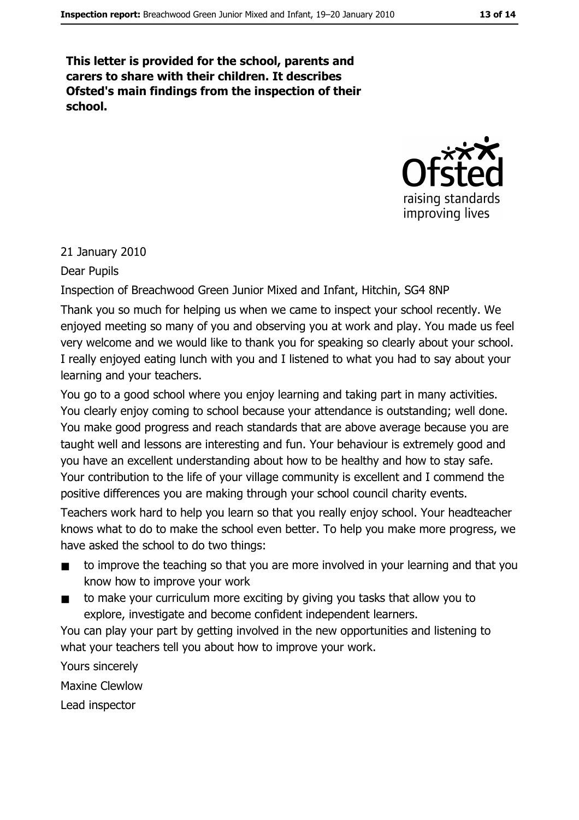This letter is provided for the school, parents and carers to share with their children. It describes Ofsted's main findings from the inspection of their school.



#### 21 January 2010

#### Dear Pupils

Inspection of Breachwood Green Junior Mixed and Infant, Hitchin, SG4 8NP

Thank you so much for helping us when we came to inspect your school recently. We enjoyed meeting so many of you and observing you at work and play. You made us feel very welcome and we would like to thank you for speaking so clearly about your school. I really enjoyed eating lunch with you and I listened to what you had to say about your learning and your teachers.

You go to a good school where you enjoy learning and taking part in many activities. You clearly enjoy coming to school because your attendance is outstanding; well done. You make good progress and reach standards that are above average because you are taught well and lessons are interesting and fun. Your behaviour is extremely good and you have an excellent understanding about how to be healthy and how to stay safe. Your contribution to the life of your village community is excellent and I commend the positive differences you are making through your school council charity events.

Teachers work hard to help you learn so that you really enjoy school. Your headteacher knows what to do to make the school even better. To help you make more progress, we have asked the school to do two things:

- to improve the teaching so that you are more involved in your learning and that you  $\blacksquare$ know how to improve your work
- to make your curriculum more exciting by giving you tasks that allow you to  $\blacksquare$ explore, investigate and become confident independent learners.

You can play your part by getting involved in the new opportunities and listening to what your teachers tell you about how to improve your work.

Yours sincerely **Maxine Clewlow** 

Lead inspector